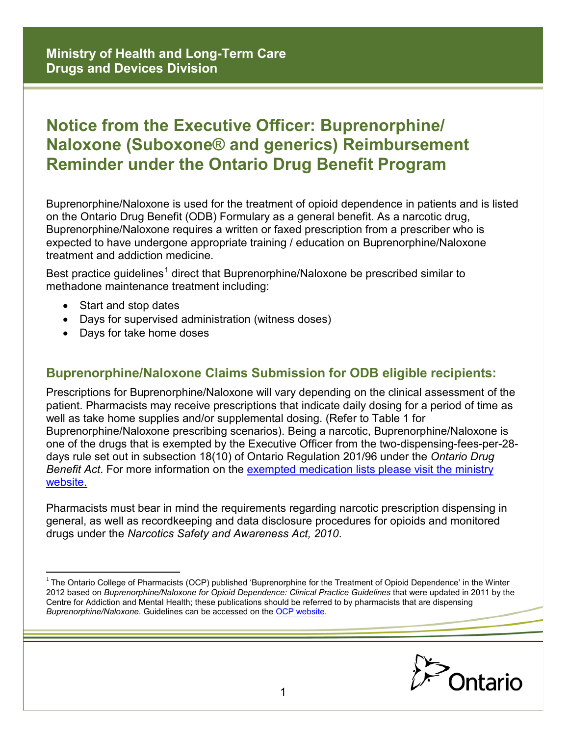## **Notice from the Executive Officer: Buprenorphine/ Naloxone (Suboxone® and generics) Reimbursement Reminder under the Ontario Drug Benefit Program**

Buprenorphine/Naloxone is used for the treatment of opioid dependence in patients and is listed on the Ontario Drug Benefit (ODB) Formulary as a general benefit. As a narcotic drug, Buprenorphine/Naloxone requires a written or faxed prescription from a prescriber who is expected to have undergone appropriate training / education on Buprenorphine/Naloxone treatment and addiction medicine.

Best practice guidelines<sup>[1](#page-0-0)</sup> direct that Buprenorphine/Naloxone be prescribed similar to methadone maintenance treatment including:

• Start and stop dates

 $\overline{a}$ 

- Days for supervised administration (witness doses)
- Days for take home doses

## **Buprenorphine/Naloxone Claims Submission for ODB eligible recipients:**

Prescriptions for Buprenorphine/Naloxone will vary depending on the clinical assessment of the patient. Pharmacists may receive prescriptions that indicate daily dosing for a period of time as well as take home supplies and/or supplemental dosing. (Refer to Table 1 for Buprenorphine/Naloxone prescribing scenarios). Being a narcotic, Buprenorphine/Naloxone is one of the drugs that is exempted by the Executive Officer from the two-dispensing-fees-per-28 days rule set out in subsection 18(10) of Ontario Regulation 201/96 under the *Ontario Drug Benefit Act*. For more information on the [exempted medication lists please visit the ministry](http://www.health.gov.on.ca/en/pro/programs/drugs/odbf_conditions_for_payment.aspx)  [website.](http://www.health.gov.on.ca/en/pro/programs/drugs/odbf_conditions_for_payment.aspx) 

Pharmacists must bear in mind the requirements regarding narcotic prescription dispensing in general, as well as recordkeeping and data disclosure procedures for opioids and monitored drugs under the *Narcotics Safety and Awareness Act, 2010*.

<span id="page-0-0"></span><sup>&</sup>lt;sup>1</sup> The Ontario College of Pharmacists (OCP) published 'Buprenorphine for the Treatment of Opioid Dependence' in the Winter 2012 based on *Buprenorphine/Naloxone for Opioid Dependence: Clinical Practice Guidelines* that were updated in 2011 by the Centre for Addiction and Mental Health; these publications should be referred to by pharmacists that are dispensing *Buprenorphine/Naloxone*. Guidelines can be accessed on the [OCP website.](http://www.ocpinfo.com/practice-education/practice-tools/articles/buprenorphine/) 

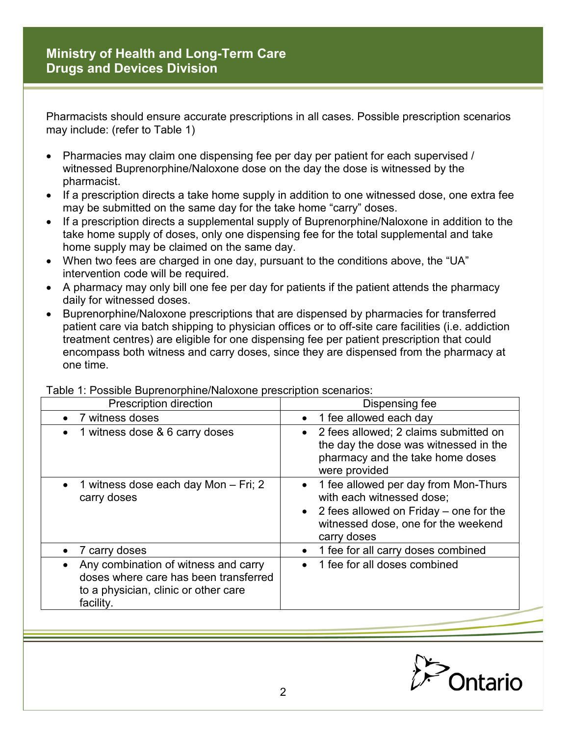Pharmacists should ensure accurate prescriptions in all cases. Possible prescription scenarios may include: (refer to Table 1)

- Pharmacies may claim one dispensing fee per day per patient for each supervised / witnessed Buprenorphine/Naloxone dose on the day the dose is witnessed by the pharmacist.
- If a prescription directs a take home supply in addition to one witnessed dose, one extra fee may be submitted on the same day for the take home "carry" doses.
- If a prescription directs a supplemental supply of Buprenorphine/Naloxone in addition to the take home supply of doses, only one dispensing fee for the total supplemental and take home supply may be claimed on the same day.
- When two fees are charged in one day, pursuant to the conditions above, the "UA" intervention code will be required.
- A pharmacy may only bill one fee per day for patients if the patient attends the pharmacy daily for witnessed doses.
- Buprenorphine/Naloxone prescriptions that are dispensed by pharmacies for transferred patient care via batch shipping to physician offices or to off-site care facilities (i.e. addiction treatment centres) are eligible for one dispensing fee per patient prescription that could encompass both witness and carry doses, since they are dispensed from the pharmacy at one time.

| Prescription direction                                                                                                             | Dispensing fee                                                                                                                                                                              |
|------------------------------------------------------------------------------------------------------------------------------------|---------------------------------------------------------------------------------------------------------------------------------------------------------------------------------------------|
| 7 witness doses                                                                                                                    | 1 fee allowed each day<br>$\bullet$                                                                                                                                                         |
| 1 witness dose & 6 carry doses                                                                                                     | 2 fees allowed; 2 claims submitted on<br>$\bullet$<br>the day the dose was witnessed in the<br>pharmacy and the take home doses<br>were provided                                            |
| 1 witness dose each day Mon - Fri; 2<br>carry doses                                                                                | 1 fee allowed per day from Mon-Thurs<br>$\bullet$<br>with each witnessed dose;<br>2 fees allowed on Friday – one for the<br>$\bullet$<br>witnessed dose, one for the weekend<br>carry doses |
| 7 carry doses                                                                                                                      | 1 fee for all carry doses combined<br>$\bullet$                                                                                                                                             |
| Any combination of witness and carry<br>doses where care has been transferred<br>to a physician, clinic or other care<br>facility. | 1 fee for all doses combined<br>$\bullet$                                                                                                                                                   |

Table 1: Possible Buprenorphine/Naloxone prescription scenarios: